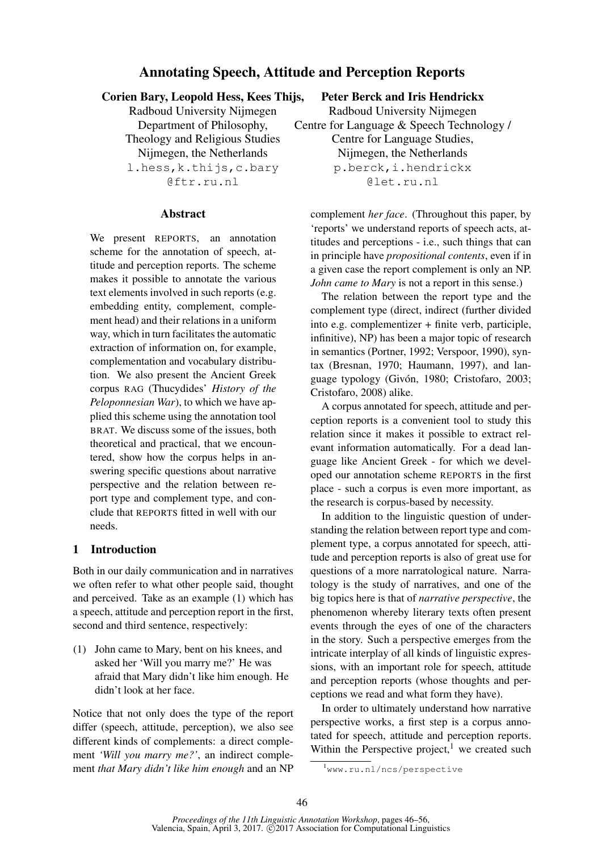# Annotating Speech, Attitude and Perception Reports

### Corien Bary, Leopold Hess, Kees Thijs,

Radboud University Nijmegen Department of Philosophy, Theology and Religious Studies Nijmegen, the Netherlands

l.hess,k.thijs,c.bary @ftr.ru.nl

#### **Abstract**

We present REPORTS, an annotation scheme for the annotation of speech, attitude and perception reports. The scheme makes it possible to annotate the various text elements involved in such reports (e.g. embedding entity, complement, complement head) and their relations in a uniform way, which in turn facilitates the automatic extraction of information on, for example, complementation and vocabulary distribution. We also present the Ancient Greek corpus RAG (Thucydides' *History of the Peloponnesian War*), to which we have applied this scheme using the annotation tool BRAT. We discuss some of the issues, both theoretical and practical, that we encountered, show how the corpus helps in answering specific questions about narrative perspective and the relation between report type and complement type, and conclude that REPORTS fitted in well with our needs.

## 1 Introduction

Both in our daily communication and in narratives we often refer to what other people said, thought and perceived. Take as an example (1) which has a speech, attitude and perception report in the first, second and third sentence, respectively:

(1) John came to Mary, bent on his knees, and asked her 'Will you marry me?' He was afraid that Mary didn't like him enough. He didn't look at her face.

Notice that not only does the type of the report differ (speech, attitude, perception), we also see different kinds of complements: a direct complement *'Will you marry me?'*, an indirect complement *that Mary didn't like him enough* and an NP Peter Berck and Iris Hendrickx

Radboud University Nijmegen Centre for Language & Speech Technology / Centre for Language Studies, Nijmegen, the Netherlands p.berck,i.hendrickx @let.ru.nl

complement *her face*. (Throughout this paper, by 'reports' we understand reports of speech acts, attitudes and perceptions - i.e., such things that can in principle have *propositional contents*, even if in a given case the report complement is only an NP. *John came to Mary* is not a report in this sense.)

The relation between the report type and the complement type (direct, indirect (further divided into e.g. complementizer + finite verb, participle, infinitive), NP) has been a major topic of research in semantics (Portner, 1992; Verspoor, 1990), syntax (Bresnan, 1970; Haumann, 1997), and language typology (Givón, 1980; Cristofaro, 2003; Cristofaro, 2008) alike.

A corpus annotated for speech, attitude and perception reports is a convenient tool to study this relation since it makes it possible to extract relevant information automatically. For a dead language like Ancient Greek - for which we developed our annotation scheme REPORTS in the first place - such a corpus is even more important, as the research is corpus-based by necessity.

In addition to the linguistic question of understanding the relation between report type and complement type, a corpus annotated for speech, attitude and perception reports is also of great use for questions of a more narratological nature. Narratology is the study of narratives, and one of the big topics here is that of *narrative perspective*, the phenomenon whereby literary texts often present events through the eyes of one of the characters in the story. Such a perspective emerges from the intricate interplay of all kinds of linguistic expressions, with an important role for speech, attitude and perception reports (whose thoughts and perceptions we read and what form they have).

In order to ultimately understand how narrative perspective works, a first step is a corpus annotated for speech, attitude and perception reports. Within the Perspective project, $<sup>1</sup>$  we created such</sup>

<sup>1</sup>www.ru.nl/ncs/perspective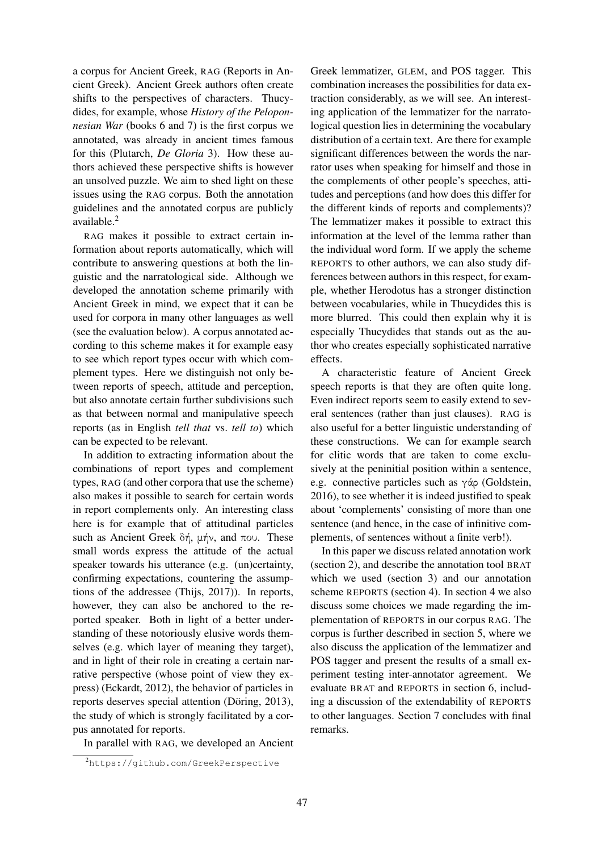a corpus for Ancient Greek, RAG (Reports in Ancient Greek). Ancient Greek authors often create shifts to the perspectives of characters. Thucydides, for example, whose *History of the Peloponnesian War* (books 6 and 7) is the first corpus we annotated, was already in ancient times famous for this (Plutarch, *De Gloria* 3). How these authors achieved these perspective shifts is however an unsolved puzzle. We aim to shed light on these issues using the RAG corpus. Both the annotation guidelines and the annotated corpus are publicly available.<sup>2</sup>

RAG makes it possible to extract certain information about reports automatically, which will contribute to answering questions at both the linguistic and the narratological side. Although we developed the annotation scheme primarily with Ancient Greek in mind, we expect that it can be used for corpora in many other languages as well (see the evaluation below). A corpus annotated according to this scheme makes it for example easy to see which report types occur with which complement types. Here we distinguish not only between reports of speech, attitude and perception, but also annotate certain further subdivisions such as that between normal and manipulative speech reports (as in English *tell that* vs. *tell to*) which can be expected to be relevant.

In addition to extracting information about the combinations of report types and complement types, RAG (and other corpora that use the scheme) also makes it possible to search for certain words in report complements only. An interesting class here is for example that of attitudinal particles such as Ancient Greek δή, μήν, and που. These small words express the attitude of the actual speaker towards his utterance (e.g. (un)certainty, confirming expectations, countering the assumptions of the addressee (Thijs, 2017)). In reports, however, they can also be anchored to the reported speaker. Both in light of a better understanding of these notoriously elusive words themselves (e.g. which layer of meaning they target), and in light of their role in creating a certain narrative perspective (whose point of view they express) (Eckardt, 2012), the behavior of particles in reports deserves special attention (Döring, 2013), the study of which is strongly facilitated by a corpus annotated for reports.

In parallel with RAG, we developed an Ancient

Greek lemmatizer, GLEM, and POS tagger. This combination increases the possibilities for data extraction considerably, as we will see. An interesting application of the lemmatizer for the narratological question lies in determining the vocabulary distribution of a certain text. Are there for example significant differences between the words the narrator uses when speaking for himself and those in the complements of other people's speeches, attitudes and perceptions (and how does this differ for the different kinds of reports and complements)? The lemmatizer makes it possible to extract this information at the level of the lemma rather than the individual word form. If we apply the scheme REPORTS to other authors, we can also study differences between authors in this respect, for example, whether Herodotus has a stronger distinction between vocabularies, while in Thucydides this is more blurred. This could then explain why it is especially Thucydides that stands out as the author who creates especially sophisticated narrative effects.

A characteristic feature of Ancient Greek speech reports is that they are often quite long. Even indirect reports seem to easily extend to several sentences (rather than just clauses). RAG is also useful for a better linguistic understanding of these constructions. We can for example search for clitic words that are taken to come exclusively at the peninitial position within a sentence, e.g. connective particles such as γάρ (Goldstein, 2016), to see whether it is indeed justified to speak about 'complements' consisting of more than one sentence (and hence, in the case of infinitive complements, of sentences without a finite verb!).

In this paper we discuss related annotation work (section 2), and describe the annotation tool BRAT which we used (section 3) and our annotation scheme REPORTS (section 4). In section 4 we also discuss some choices we made regarding the implementation of REPORTS in our corpus RAG. The corpus is further described in section 5, where we also discuss the application of the lemmatizer and POS tagger and present the results of a small experiment testing inter-annotator agreement. We evaluate BRAT and REPORTS in section 6, including a discussion of the extendability of REPORTS to other languages. Section 7 concludes with final remarks.

<sup>2</sup>https://github.com/GreekPerspective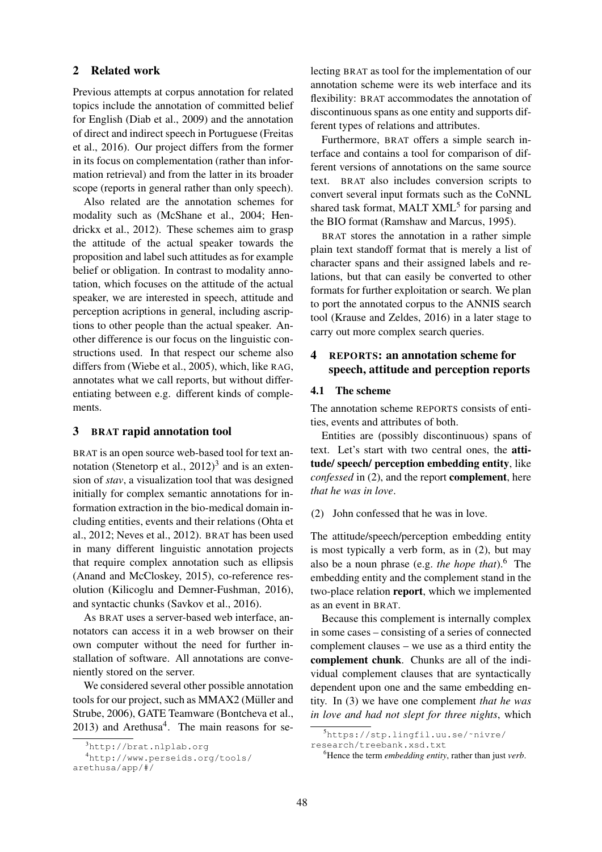### 2 Related work

Previous attempts at corpus annotation for related topics include the annotation of committed belief for English (Diab et al., 2009) and the annotation of direct and indirect speech in Portuguese (Freitas et al., 2016). Our project differs from the former in its focus on complementation (rather than information retrieval) and from the latter in its broader scope (reports in general rather than only speech).

Also related are the annotation schemes for modality such as (McShane et al., 2004; Hendrickx et al., 2012). These schemes aim to grasp the attitude of the actual speaker towards the proposition and label such attitudes as for example belief or obligation. In contrast to modality annotation, which focuses on the attitude of the actual speaker, we are interested in speech, attitude and perception acriptions in general, including ascriptions to other people than the actual speaker. Another difference is our focus on the linguistic constructions used. In that respect our scheme also differs from (Wiebe et al., 2005), which, like RAG, annotates what we call reports, but without differentiating between e.g. different kinds of complements.

### 3 BRAT rapid annotation tool

BRAT is an open source web-based tool for text annotation (Stenetorp et al.,  $2012$ )<sup>3</sup> and is an extension of *stav*, a visualization tool that was designed initially for complex semantic annotations for information extraction in the bio-medical domain including entities, events and their relations (Ohta et al., 2012; Neves et al., 2012). BRAT has been used in many different linguistic annotation projects that require complex annotation such as ellipsis (Anand and McCloskey, 2015), co-reference resolution (Kilicoglu and Demner-Fushman, 2016), and syntactic chunks (Savkov et al., 2016).

As BRAT uses a server-based web interface, annotators can access it in a web browser on their own computer without the need for further installation of software. All annotations are conveniently stored on the server.

We considered several other possible annotation tools for our project, such as MMAX2 (Müller and Strube, 2006), GATE Teamware (Bontcheva et al.,  $2013$ ) and Arethusa<sup>4</sup>. The main reasons for selecting BRAT as tool for the implementation of our annotation scheme were its web interface and its flexibility: BRAT accommodates the annotation of discontinuous spans as one entity and supports different types of relations and attributes.

Furthermore, BRAT offers a simple search interface and contains a tool for comparison of different versions of annotations on the same source text. BRAT also includes conversion scripts to convert several input formats such as the CoNNL shared task format, MALT XML<sup>5</sup> for parsing and the BIO format (Ramshaw and Marcus, 1995).

BRAT stores the annotation in a rather simple plain text standoff format that is merely a list of character spans and their assigned labels and relations, but that can easily be converted to other formats for further exploitation or search. We plan to port the annotated corpus to the ANNIS search tool (Krause and Zeldes, 2016) in a later stage to carry out more complex search queries.

# 4 REPORTS: an annotation scheme for speech, attitude and perception reports

#### 4.1 The scheme

The annotation scheme REPORTS consists of entities, events and attributes of both.

Entities are (possibly discontinuous) spans of text. Let's start with two central ones, the attitude/ speech/ perception embedding entity, like *confessed* in (2), and the report complement, here *that he was in love*.

(2) John confessed that he was in love.

The attitude/speech/perception embedding entity is most typically a verb form, as in (2), but may also be a noun phrase (e.g. *the hope that*).<sup>6</sup> The embedding entity and the complement stand in the two-place relation report, which we implemented as an event in BRAT.

Because this complement is internally complex in some cases – consisting of a series of connected complement clauses – we use as a third entity the complement chunk. Chunks are all of the individual complement clauses that are syntactically dependent upon one and the same embedding entity. In (3) we have one complement *that he was in love and had not slept for three nights*, which

<sup>3</sup>http://brat.nlplab.org

<sup>4</sup>http://www.perseids.org/tools/ arethusa/app/#/

<sup>5</sup>https://stp.lingfil.uu.se/˜nivre/

research/treebank.xsd.txt

<sup>6</sup>Hence the term *embedding entity*, rather than just *verb*.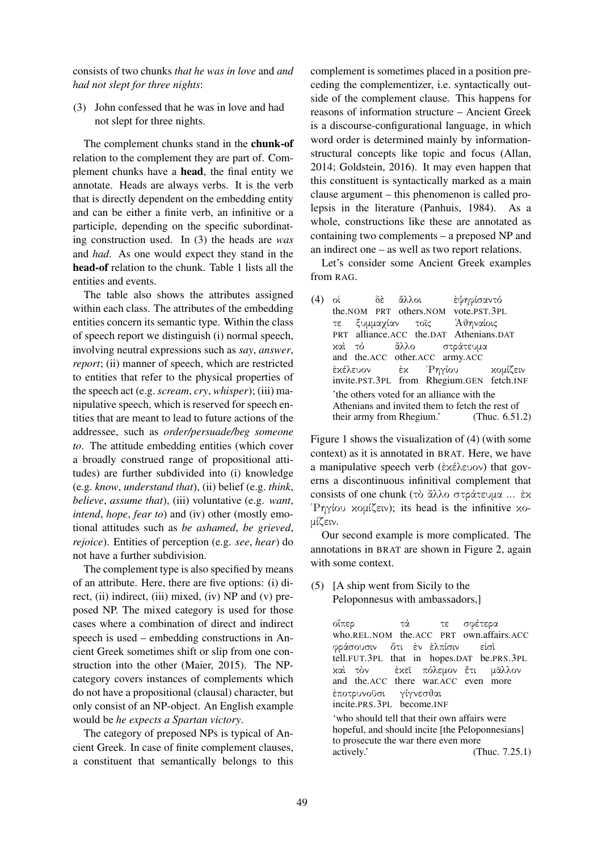consists of two chunks *that he was in love* and *and had not slept for three nights*:

(3) John confessed that he was in love and had not slept for three nights.

The complement chunks stand in the chunk-of relation to the complement they are part of. Complement chunks have a head, the final entity we annotate. Heads are always verbs. It is the verb that is directly dependent on the embedding entity and can be either a finite verb, an infinitive or a participle, depending on the specific subordinating construction used. In (3) the heads are *was* and *had*. As one would expect they stand in the head-of relation to the chunk. Table 1 lists all the entities and events.

The table also shows the attributes assigned within each class. The attributes of the embedding entities concern its semantic type. Within the class of speech report we distinguish (i) normal speech, involving neutral expressions such as *say*, *answer*, *report*; (ii) manner of speech, which are restricted to entities that refer to the physical properties of the speech act (e.g. *scream*, *cry*, *whisper*); (iii) manipulative speech, which is reserved for speech entities that are meant to lead to future actions of the addressee, such as *order/persuade/beg someone to*. The attitude embedding entities (which cover a broadly construed range of propositional attitudes) are further subdivided into (i) knowledge (e.g. *know*, *understand that*), (ii) belief (e.g. *think*, *believe*, *assume that*), (iii) voluntative (e.g. *want*, *intend*, *hope*, *fear to*) and (iv) other (mostly emotional attitudes such as *be ashamed*, *be grieved*, *rejoice*). Entities of perception (e.g. *see*, *hear*) do not have a further subdivision.

The complement type is also specified by means of an attribute. Here, there are five options: (i) direct, (ii) indirect, (iii) mixed, (iv) NP and (v) preposed NP. The mixed category is used for those cases where a combination of direct and indirect speech is used – embedding constructions in Ancient Greek sometimes shift or slip from one construction into the other (Maier, 2015). The NPcategory covers instances of complements which do not have a propositional (clausal) character, but only consist of an NP-object. An English example would be *he expects a Spartan victory*.

The category of preposed NPs is typical of Ancient Greek. In case of finite complement clauses, a constituent that semantically belongs to this

complement is sometimes placed in a position preceding the complementizer, i.e. syntactically outside of the complement clause. This happens for reasons of information structure – Ancient Greek is a discourse-configurational language, in which word order is determined mainly by informationstructural concepts like topic and focus (Allan, 2014; Goldstein, 2016). It may even happen that this constituent is syntactically marked as a main clause argument – this phenomenon is called prolepsis in the literature (Panhuis, 1984). As a whole, constructions like these are annotated as containing two complements – a preposed NP and an indirect one – as well as two report relations.

Let's consider some Ancient Greek examples from RAG.

(4) οἱ the.NOM PRT others.NOM δὲ ἄλλοι ἐψηφίσαντό vote.PST.3PL τε PRT ξυμμαχίαν alliance.ACC the.DAT Athenians.DAT τοῖς ᾿Αθηναίοις καὶ and the.ACC τό ἄλλο other.ACC army.ACC στράτευμα ἐκέλευον invite.PST.3PL from Rhegium.GEN fetch.INF ἐκ ῾Ρηγίου κομίζειν 'the others voted for an alliance with the Athenians and invited them to fetch the rest of their army from Rhegium.' (Thuc. 6.51.2)

Figure 1 shows the visualization of (4) (with some context) as it is annotated in BRAT. Here, we have a manipulative speech verb (ἐκέλευον) that governs a discontinuous infinitival complement that consists of one chunk (τὸ ἄλλο στράτευμα ... ἐκ ῾Ρηγίου κομίζειν); its head is the infinitive κομίζειν.

Our second example is more complicated. The annotations in BRAT are shown in Figure 2, again with some context.

(5) [A ship went from Sicily to the Peloponnesus with ambassadors,]

> οἵπερ who.REL.NOM the.ACC PRT own.affairs.ACC τά τε σφέτερα φράσουσιν tell.FUT.3PL ὅτι ἐν ἐλπίσιν that in hopes.DAT εἰσὶ be.PRS.3PL καὶ τὸν and the.ACC there war.ACC even more ἐκεῖ πόλεμον ἔτι μᾶλλον ἐποτρυνοῦσι incite.PRS.3PL become.INF γίγνεσθαι 'who should tell that their own affairs were hopeful, and should incite [the Peloponnesians] to prosecute the war there even more actively.' (Thuc. 7.25.1)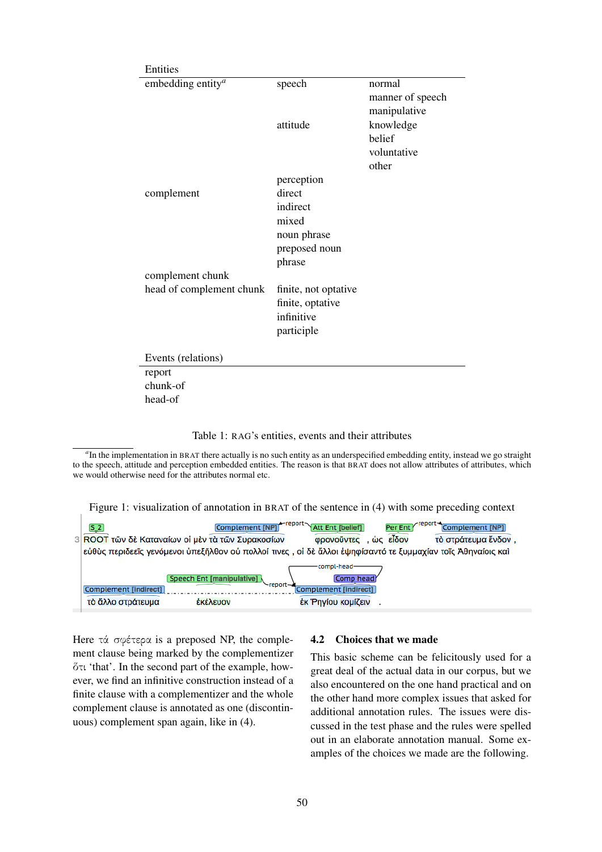| Entities                      |                      |                                            |
|-------------------------------|----------------------|--------------------------------------------|
| embedding entity <sup>a</sup> | speech               | normal<br>manner of speech<br>manipulative |
|                               | attitude             | knowledge                                  |
|                               |                      | belief                                     |
|                               |                      | voluntative                                |
|                               |                      | other                                      |
|                               | perception           |                                            |
| complement                    | direct               |                                            |
|                               | indirect             |                                            |
|                               | mixed                |                                            |
|                               | noun phrase          |                                            |
|                               | preposed noun        |                                            |
|                               | phrase               |                                            |
| complement chunk              |                      |                                            |
| head of complement chunk      | finite, not optative |                                            |
|                               | finite, optative     |                                            |
|                               | infinitive           |                                            |
|                               | participle           |                                            |
| Events (relations)            |                      |                                            |
| report                        |                      |                                            |
| chunk-of                      |                      |                                            |
| head-of                       |                      |                                            |

| Table 1: RAG's entities, events and their attributes |  |  |  |
|------------------------------------------------------|--|--|--|
|------------------------------------------------------|--|--|--|

*a* In the implementation in BRAT there actually is no such entity as an underspecified embedding entity, instead we go straight to the speech, attitude and perception embedded entities. The reason is that BRAT does not allow attributes of attributes, which we would otherwise need for the attributes normal etc.

Figure 1: visualization of annotation in BRAT of the sentence in (4) with some preceding context

| Complement [NP]<br>$S_2$<br>3 ROOT τῶν δὲ Καταναίων οι μὲν τὰ τῶν Συρακοσίων        | ←report~<br>√report≁<br><b>Att Ent [belief]</b><br>Per Ent<br>Complement [NP]<br>, ώς είδον<br>τὸ στράτευμα ἕνδον.<br>ΦΟΟνοῦντες<br>εύθὺς περιδεεῖς γενόμενοι ὑπεξῆλθον οὐ πολλοί τινες, οἱ δὲ ἄλλοι ἐψηφίσαντό τε ξυμμαχίαν τοῖς Ἀθηναίοις και |
|-------------------------------------------------------------------------------------|-------------------------------------------------------------------------------------------------------------------------------------------------------------------------------------------------------------------------------------------------|
| Speech Ent [manipulative]<br>Complement [indirect]<br>τὸ ἄλλο στράτευμα<br>έκέλευον | compl-head-<br>Comp head<br>$-$ report $-$<br>Complement [indirect]<br>έκ 'Ρηγίου κομίζειν                                                                                                                                                      |

Here τά σφέτερα is a preposed NP, the complement clause being marked by the complementizer ὅτι 'that'. In the second part of the example, however, we find an infinitive construction instead of a finite clause with a complementizer and the whole complement clause is annotated as one (discontinuous) complement span again, like in (4).

### 4.2 Choices that we made

This basic scheme can be felicitously used for a great deal of the actual data in our corpus, but we also encountered on the one hand practical and on the other hand more complex issues that asked for additional annotation rules. The issues were discussed in the test phase and the rules were spelled out in an elaborate annotation manual. Some examples of the choices we made are the following.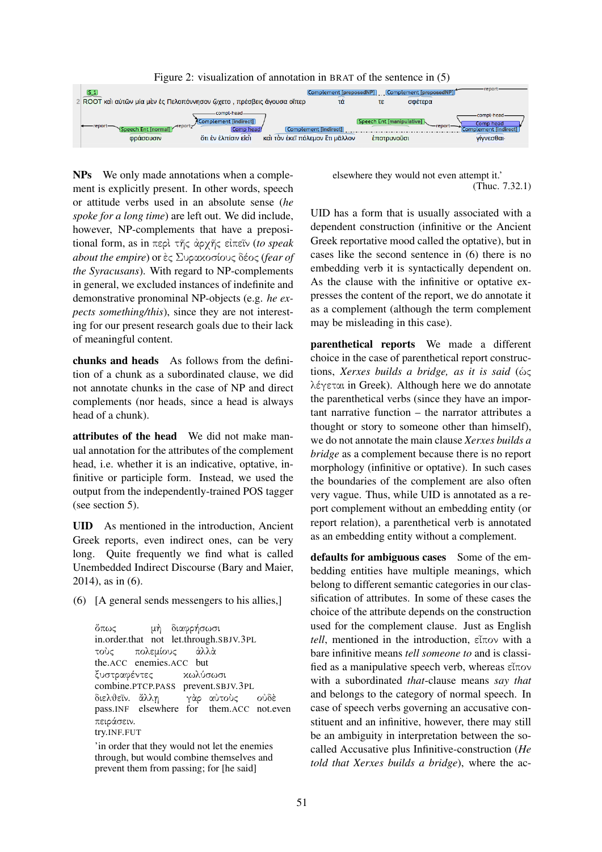



NPs We only made annotations when a complement is explicitly present. In other words, speech or attitude verbs used in an absolute sense (*he spoke for a long time*) are left out. We did include, however, NP-complements that have a prepositional form, as in περὶ τῆς ἀρχῆς εἰπεῖν (*to speak about the empire*) or ἐς Συρακοσίους δέος (*fear of the Syracusans*). With regard to NP-complements in general, we excluded instances of indefinite and demonstrative pronominal NP-objects (e.g. *he expects something/this*), since they are not interesting for our present research goals due to their lack of meaningful content.

chunks and heads As follows from the definition of a chunk as a subordinated clause, we did not annotate chunks in the case of NP and direct complements (nor heads, since a head is always head of a chunk).

attributes of the head We did not make manual annotation for the attributes of the complement head, i.e. whether it is an indicative, optative, infinitive or participle form. Instead, we used the output from the independently-trained POS tagger (see section 5).

UID As mentioned in the introduction, Ancient Greek reports, even indirect ones, can be very long. Quite frequently we find what is called Unembedded Indirect Discourse (Bary and Maier, 2014), as in (6).

(6) [A general sends messengers to his allies,]

ὅπως in.order.that not let.through.SBJV.3PL μὴ διαφρήσωσι τοὺς the.ACC enemies.ACC but πολεμίους ἀλλὰ ξυστραφέντες combine.PTCP.PASS κωλύσωσι prevent.SBJV.3PL διελθεῖν*.* pass.INF ἄλλη elsewhere for γὰρ αὐτοὺς them.ACC not.even οὐδὲ πειράσειν*.* try.INF.FUT

'in order that they would not let the enemies through, but would combine themselves and prevent them from passing; for [he said]

elsewhere they would not even attempt it.' (Thuc. 7.32.1)

UID has a form that is usually associated with a dependent construction (infinitive or the Ancient Greek reportative mood called the optative), but in cases like the second sentence in (6) there is no embedding verb it is syntactically dependent on. As the clause with the infinitive or optative expresses the content of the report, we do annotate it as a complement (although the term complement may be misleading in this case).

parenthetical reports We made a different choice in the case of parenthetical report constructions, *Xerxes builds a bridge, as it is said* (ὡς λέγεται in Greek). Although here we do annotate the parenthetical verbs (since they have an important narrative function – the narrator attributes a thought or story to someone other than himself), we do not annotate the main clause *Xerxes builds a bridge* as a complement because there is no report morphology (infinitive or optative). In such cases the boundaries of the complement are also often very vague. Thus, while UID is annotated as a report complement without an embedding entity (or report relation), a parenthetical verb is annotated as an embedding entity without a complement.

defaults for ambiguous cases Some of the embedding entities have multiple meanings, which belong to different semantic categories in our classification of attributes. In some of these cases the choice of the attribute depends on the construction used for the complement clause. Just as English *tell*, mentioned in the introduction, εἶπον with a bare infinitive means *tell someone to* and is classified as a manipulative speech verb, whereas εἶπον with a subordinated *that*-clause means *say that* and belongs to the category of normal speech. In case of speech verbs governing an accusative constituent and an infinitive, however, there may still be an ambiguity in interpretation between the socalled Accusative plus Infinitive-construction (*He told that Xerxes builds a bridge*), where the ac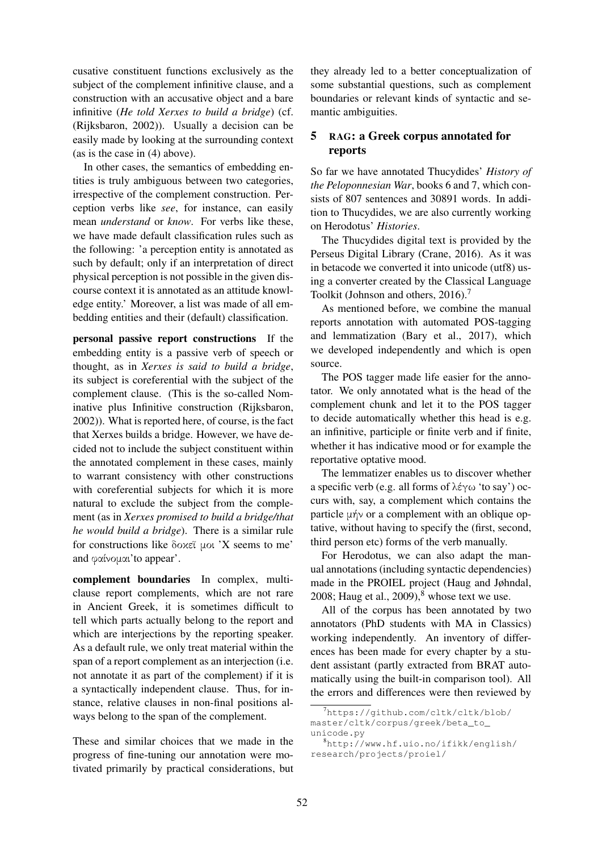cusative constituent functions exclusively as the subject of the complement infinitive clause, and a construction with an accusative object and a bare infinitive (*He told Xerxes to build a bridge*) (cf. (Rijksbaron, 2002)). Usually a decision can be easily made by looking at the surrounding context (as is the case in (4) above).

In other cases, the semantics of embedding entities is truly ambiguous between two categories, irrespective of the complement construction. Perception verbs like *see*, for instance, can easily mean *understand* or *know*. For verbs like these, we have made default classification rules such as the following: 'a perception entity is annotated as such by default; only if an interpretation of direct physical perception is not possible in the given discourse context it is annotated as an attitude knowledge entity.' Moreover, a list was made of all embedding entities and their (default) classification.

personal passive report constructions If the embedding entity is a passive verb of speech or thought, as in *Xerxes is said to build a bridge*, its subject is coreferential with the subject of the complement clause. (This is the so-called Nominative plus Infinitive construction (Rijksbaron, 2002)). What is reported here, of course, is the fact that Xerxes builds a bridge. However, we have decided not to include the subject constituent within the annotated complement in these cases, mainly to warrant consistency with other constructions with coreferential subjects for which it is more natural to exclude the subject from the complement (as in *Xerxes promised to build a bridge/that he would build a bridge*). There is a similar rule for constructions like δοκεῖ μοι 'X seems to me' and φαίνομαι'to appear'.

complement boundaries In complex, multiclause report complements, which are not rare in Ancient Greek, it is sometimes difficult to tell which parts actually belong to the report and which are interjections by the reporting speaker. As a default rule, we only treat material within the span of a report complement as an interjection (i.e. not annotate it as part of the complement) if it is a syntactically independent clause. Thus, for instance, relative clauses in non-final positions always belong to the span of the complement.

These and similar choices that we made in the progress of fine-tuning our annotation were motivated primarily by practical considerations, but

they already led to a better conceptualization of some substantial questions, such as complement boundaries or relevant kinds of syntactic and semantic ambiguities.

# 5 RAG: a Greek corpus annotated for reports

So far we have annotated Thucydides' *History of the Peloponnesian War*, books 6 and 7, which consists of 807 sentences and 30891 words. In addition to Thucydides, we are also currently working on Herodotus' *Histories*.

The Thucydides digital text is provided by the Perseus Digital Library (Crane, 2016). As it was in betacode we converted it into unicode (utf8) using a converter created by the Classical Language Toolkit (Johnson and others, 2016).<sup>7</sup>

As mentioned before, we combine the manual reports annotation with automated POS-tagging and lemmatization (Bary et al., 2017), which we developed independently and which is open source.

The POS tagger made life easier for the annotator. We only annotated what is the head of the complement chunk and let it to the POS tagger to decide automatically whether this head is e.g. an infinitive, participle or finite verb and if finite, whether it has indicative mood or for example the reportative optative mood.

The lemmatizer enables us to discover whether a specific verb (e.g. all forms of λέγω 'to say') occurs with, say, a complement which contains the particle μήν or a complement with an oblique optative, without having to specify the (first, second, third person etc) forms of the verb manually.

For Herodotus, we can also adapt the manual annotations (including syntactic dependencies) made in the PROIEL project (Haug and Jøhndal, 2008; Haug et al.,  $2009$ ), $8$  whose text we use.

All of the corpus has been annotated by two annotators (PhD students with MA in Classics) working independently. An inventory of differences has been made for every chapter by a student assistant (partly extracted from BRAT automatically using the built-in comparison tool). All the errors and differences were then reviewed by

<sup>7</sup>https://github.com/cltk/cltk/blob/ master/cltk/corpus/greek/beta\_to\_ unicode.py

<sup>8</sup>http://www.hf.uio.no/ifikk/english/ research/projects/proiel/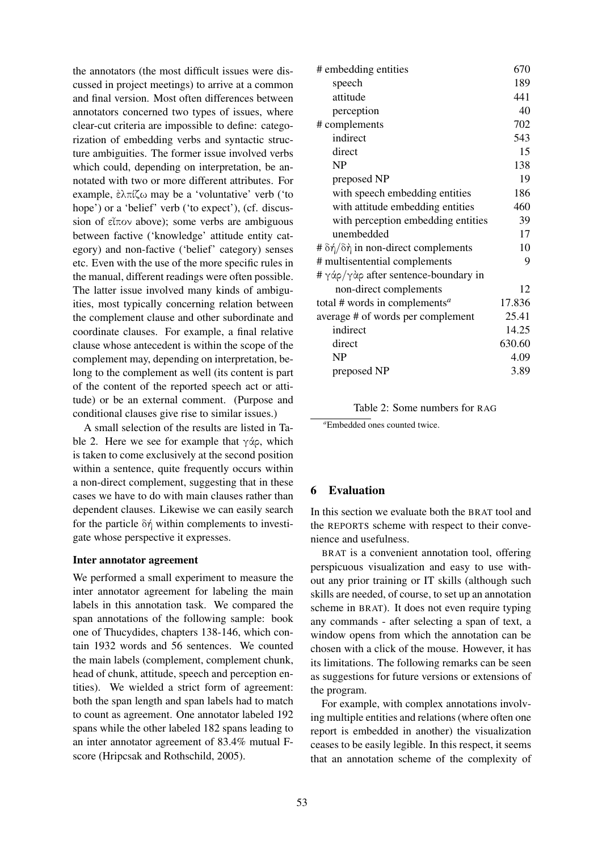the annotators (the most difficult issues were discussed in project meetings) to arrive at a common and final version. Most often differences between annotators concerned two types of issues, where clear-cut criteria are impossible to define: categorization of embedding verbs and syntactic structure ambiguities. The former issue involved verbs which could, depending on interpretation, be annotated with two or more different attributes. For example, ἐλπίζω may be a 'voluntative' verb ('to hope') or a 'belief' verb ('to expect'), (cf. discussion of εἶπον above); some verbs are ambiguous between factive ('knowledge' attitude entity category) and non-factive ('belief' category) senses etc. Even with the use of the more specific rules in the manual, different readings were often possible. The latter issue involved many kinds of ambiguities, most typically concerning relation between the complement clause and other subordinate and coordinate clauses. For example, a final relative clause whose antecedent is within the scope of the complement may, depending on interpretation, belong to the complement as well (its content is part of the content of the reported speech act or attitude) or be an external comment. (Purpose and conditional clauses give rise to similar issues.)

A small selection of the results are listed in Table 2. Here we see for example that γάρ, which is taken to come exclusively at the second position within a sentence, quite frequently occurs within a non-direct complement, suggesting that in these cases we have to do with main clauses rather than dependent clauses. Likewise we can easily search for the particle δή within complements to investigate whose perspective it expresses.

### Inter annotator agreement

We performed a small experiment to measure the inter annotator agreement for labeling the main labels in this annotation task. We compared the span annotations of the following sample: book one of Thucydides, chapters 138-146, which contain 1932 words and 56 sentences. We counted the main labels (complement, complement chunk, head of chunk, attitude, speech and perception entities). We wielded a strict form of agreement: both the span length and span labels had to match to count as agreement. One annotator labeled 192 spans while the other labeled 182 spans leading to an inter annotator agreement of 83.4% mutual Fscore (Hripcsak and Rothschild, 2005).

| # embedding entities                      | 670    |
|-------------------------------------------|--------|
| speech                                    | 189    |
| attitude                                  | 441    |
| perception                                | 40     |
| # complements                             | 702    |
| indirect                                  | 543    |
| direct                                    | 15     |
| <b>NP</b>                                 | 138    |
| preposed NP                               | 19     |
| with speech embedding entities            | 186    |
| with attitude embedding entities          | 460    |
| with perception embedding entities        | 39     |
| unembedded                                | 17     |
| # δή/δή in non-direct complements         | 10     |
| # multisentential complements             | 9      |
| # γάρ/γὰρ after sentence-boundary in      |        |
| non-direct complements                    | 12     |
| total # words in complements <sup>a</sup> | 17.836 |
| average # of words per complement         | 25.41  |
| indirect                                  | 14.25  |
| direct                                    | 630.60 |
| NP                                        | 4.09   |
| preposed NP                               | 3.89   |

### Table 2: Some numbers for RAG

*<sup>a</sup>*Embedded ones counted twice.

# 6 Evaluation

In this section we evaluate both the BRAT tool and the REPORTS scheme with respect to their convenience and usefulness.

BRAT is a convenient annotation tool, offering perspicuous visualization and easy to use without any prior training or IT skills (although such skills are needed, of course, to set up an annotation scheme in BRAT). It does not even require typing any commands - after selecting a span of text, a window opens from which the annotation can be chosen with a click of the mouse. However, it has its limitations. The following remarks can be seen as suggestions for future versions or extensions of the program.

For example, with complex annotations involving multiple entities and relations (where often one report is embedded in another) the visualization ceases to be easily legible. In this respect, it seems that an annotation scheme of the complexity of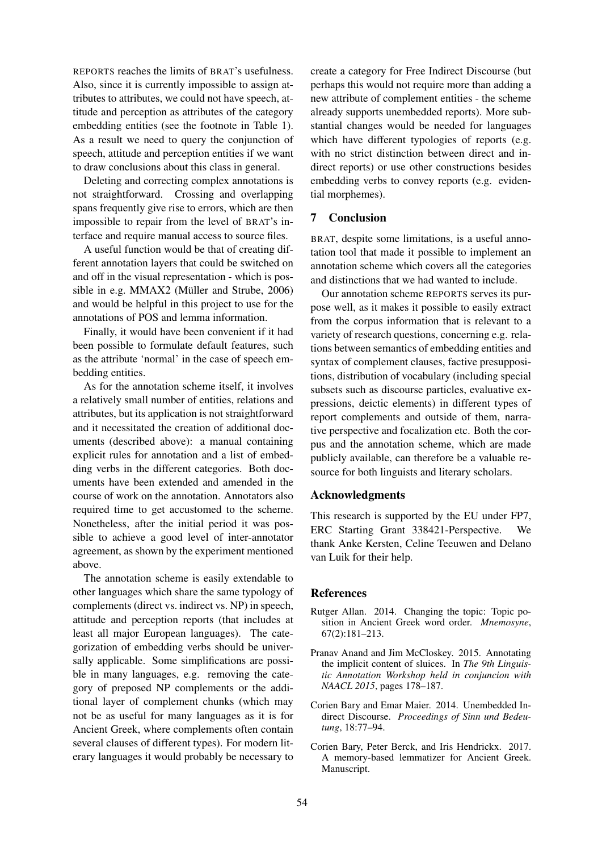REPORTS reaches the limits of BRAT's usefulness. Also, since it is currently impossible to assign attributes to attributes, we could not have speech, attitude and perception as attributes of the category embedding entities (see the footnote in Table 1). As a result we need to query the conjunction of speech, attitude and perception entities if we want to draw conclusions about this class in general.

Deleting and correcting complex annotations is not straightforward. Crossing and overlapping spans frequently give rise to errors, which are then impossible to repair from the level of BRAT's interface and require manual access to source files.

A useful function would be that of creating different annotation layers that could be switched on and off in the visual representation - which is possible in e.g. MMAX2 (Müller and Strube, 2006) and would be helpful in this project to use for the annotations of POS and lemma information.

Finally, it would have been convenient if it had been possible to formulate default features, such as the attribute 'normal' in the case of speech embedding entities.

As for the annotation scheme itself, it involves a relatively small number of entities, relations and attributes, but its application is not straightforward and it necessitated the creation of additional documents (described above): a manual containing explicit rules for annotation and a list of embedding verbs in the different categories. Both documents have been extended and amended in the course of work on the annotation. Annotators also required time to get accustomed to the scheme. Nonetheless, after the initial period it was possible to achieve a good level of inter-annotator agreement, as shown by the experiment mentioned above.

The annotation scheme is easily extendable to other languages which share the same typology of complements (direct vs. indirect vs. NP) in speech, attitude and perception reports (that includes at least all major European languages). The categorization of embedding verbs should be universally applicable. Some simplifications are possible in many languages, e.g. removing the category of preposed NP complements or the additional layer of complement chunks (which may not be as useful for many languages as it is for Ancient Greek, where complements often contain several clauses of different types). For modern literary languages it would probably be necessary to

create a category for Free Indirect Discourse (but perhaps this would not require more than adding a new attribute of complement entities - the scheme already supports unembedded reports). More substantial changes would be needed for languages which have different typologies of reports (e.g. with no strict distinction between direct and indirect reports) or use other constructions besides embedding verbs to convey reports (e.g. evidential morphemes).

## 7 Conclusion

BRAT, despite some limitations, is a useful annotation tool that made it possible to implement an annotation scheme which covers all the categories and distinctions that we had wanted to include.

Our annotation scheme REPORTS serves its purpose well, as it makes it possible to easily extract from the corpus information that is relevant to a variety of research questions, concerning e.g. relations between semantics of embedding entities and syntax of complement clauses, factive presuppositions, distribution of vocabulary (including special subsets such as discourse particles, evaluative expressions, deictic elements) in different types of report complements and outside of them, narrative perspective and focalization etc. Both the corpus and the annotation scheme, which are made publicly available, can therefore be a valuable resource for both linguists and literary scholars.

#### Acknowledgments

This research is supported by the EU under FP7, ERC Starting Grant 338421-Perspective. We thank Anke Kersten, Celine Teeuwen and Delano van Luik for their help.

#### **References**

- Rutger Allan. 2014. Changing the topic: Topic position in Ancient Greek word order. *Mnemosyne*, 67(2):181–213.
- Pranav Anand and Jim McCloskey. 2015. Annotating the implicit content of sluices. In *The 9th Linguistic Annotation Workshop held in conjuncion with NAACL 2015*, pages 178–187.
- Corien Bary and Emar Maier. 2014. Unembedded Indirect Discourse. *Proceedings of Sinn und Bedeutung*, 18:77–94.
- Corien Bary, Peter Berck, and Iris Hendrickx. 2017. A memory-based lemmatizer for Ancient Greek. Manuscript.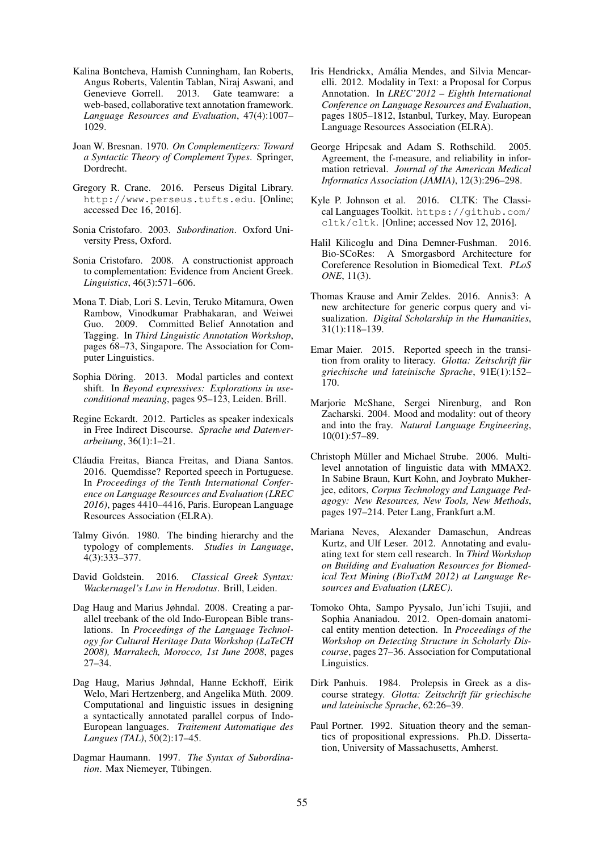- Kalina Bontcheva, Hamish Cunningham, Ian Roberts, Angus Roberts, Valentin Tablan, Niraj Aswani, and Genevieve Gorrell. 2013. Gate teamware: a web-based, collaborative text annotation framework. *Language Resources and Evaluation*, 47(4):1007– 1029.
- Joan W. Bresnan. 1970. *On Complementizers: Toward a Syntactic Theory of Complement Types*. Springer, Dordrecht.
- Gregory R. Crane. 2016. Perseus Digital Library. http://www.perseus.tufts.edu. [Online; accessed Dec 16, 2016].
- Sonia Cristofaro. 2003. *Subordination*. Oxford University Press, Oxford.
- Sonia Cristofaro. 2008. A constructionist approach to complementation: Evidence from Ancient Greek. *Linguistics*, 46(3):571–606.
- Mona T. Diab, Lori S. Levin, Teruko Mitamura, Owen Rambow, Vinodkumar Prabhakaran, and Weiwei Guo. 2009. Committed Belief Annotation and Tagging. In *Third Linguistic Annotation Workshop*, pages 68–73, Singapore. The Association for Computer Linguistics.
- Sophia Döring. 2013. Modal particles and context shift. In *Beyond expressives: Explorations in useconditional meaning*, pages 95–123, Leiden. Brill.
- Regine Eckardt. 2012. Particles as speaker indexicals in Free Indirect Discourse. *Sprache und Datenverarbeitung*, 36(1):1–21.
- Cláudia Freitas, Bianca Freitas, and Diana Santos. 2016. Quemdisse? Reported speech in Portuguese. In *Proceedings of the Tenth International Conference on Language Resources and Evaluation (LREC 2016)*, pages 4410–4416, Paris. European Language Resources Association (ELRA).
- Talmy Givón. 1980. The binding hierarchy and the typology of complements. *Studies in Language*, 4(3):333–377.
- David Goldstein. 2016. *Classical Greek Syntax: Wackernagel's Law in Herodotus*. Brill, Leiden.
- Dag Haug and Marius Jøhndal. 2008. Creating a parallel treebank of the old Indo-European Bible translations. In *Proceedings of the Language Technology for Cultural Heritage Data Workshop (LaTeCH 2008), Marrakech, Morocco, 1st June 2008*, pages 27–34.
- Dag Haug, Marius Jøhndal, Hanne Eckhoff, Eirik Welo, Mari Hertzenberg, and Angelika Müth. 2009. Computational and linguistic issues in designing a syntactically annotated parallel corpus of Indo-European languages. *Traitement Automatique des Langues (TAL)*, 50(2):17–45.
- Dagmar Haumann. 1997. *The Syntax of Subordination*. Max Niemeyer, Tübingen.
- Iris Hendrickx, Amalia Mendes, and Silvia Mencar- ´ elli. 2012. Modality in Text: a Proposal for Corpus Annotation. In *LREC'2012 – Eighth International Conference on Language Resources and Evaluation*, pages 1805–1812, Istanbul, Turkey, May. European Language Resources Association (ELRA).
- George Hripcsak and Adam S. Rothschild. Agreement, the f-measure, and reliability in information retrieval. *Journal of the American Medical Informatics Association (JAMIA)*, 12(3):296–298.
- Kyle P. Johnson et al. 2016. CLTK: The Classical Languages Toolkit. https://github.com/ cltk/cltk. [Online; accessed Nov 12, 2016].
- Halil Kilicoglu and Dina Demner-Fushman. 2016. Bio-SCoRes: A Smorgasbord Architecture for Coreference Resolution in Biomedical Text. *PLoS ONE*, 11(3).
- Thomas Krause and Amir Zeldes. 2016. Annis3: A new architecture for generic corpus query and visualization. *Digital Scholarship in the Humanities*, 31(1):118–139.
- Emar Maier. 2015. Reported speech in the transition from orality to literacy. *Glotta: Zeitschrift für griechische und lateinische Sprache*, 91E(1):152– 170.
- Marjorie McShane, Sergei Nirenburg, and Ron Zacharski. 2004. Mood and modality: out of theory and into the fray. *Natural Language Engineering*, 10(01):57–89.
- Christoph Müller and Michael Strube. 2006. Multilevel annotation of linguistic data with MMAX2. In Sabine Braun, Kurt Kohn, and Joybrato Mukherjee, editors, *Corpus Technology and Language Pedagogy: New Resources, New Tools, New Methods*, pages 197–214. Peter Lang, Frankfurt a.M.
- Mariana Neves, Alexander Damaschun, Andreas Kurtz, and Ulf Leser. 2012. Annotating and evaluating text for stem cell research. In *Third Workshop on Building and Evaluation Resources for Biomedical Text Mining (BioTxtM 2012) at Language Resources and Evaluation (LREC)*.
- Tomoko Ohta, Sampo Pyysalo, Jun'ichi Tsujii, and Sophia Ananiadou. 2012. Open-domain anatomical entity mention detection. In *Proceedings of the Workshop on Detecting Structure in Scholarly Discourse*, pages 27–36. Association for Computational Linguistics.
- Dirk Panhuis. 1984. Prolepsis in Greek as a discourse strategy. *Glotta: Zeitschrift fur griechische ¨ und lateinische Sprache*, 62:26–39.
- Paul Portner. 1992. Situation theory and the semantics of propositional expressions. Ph.D. Dissertation, University of Massachusetts, Amherst.